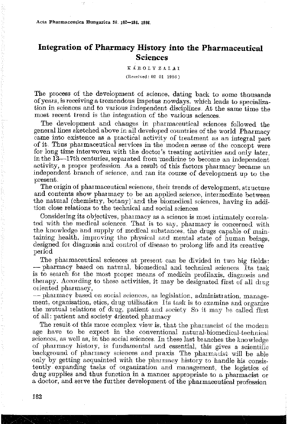## **Integration of Pharmacy History into the Pharmaceutical Sciences**

**K\_{ROLY ZAIAI** 

**(Recehed: 02 01 1986)** 

The process of the development of science, dating back to some thousands of years, is receiving a tremendous impetus nowdays, which leads to specialization in sciences and to various independent disciplines. At the same time the **most recent trend is the integration of the various sciences,** 

The development and changes in phannaceutical sciences followed the general lines sketched above in all developed countries of the world Pharmacy **came into existence as a practical activity of treatment a.s an integral part**  of it. Thus pharmaceutical services in the modern sense of the concept were for long time interwoven with the doctor's treating activities and only later, in the 13-17th centuries, separated from medicine to become an independent activity, a proper profession. As a result of this factors pharmacy became an independent branch of science, and ran its course of development up to the present.

The origin of pharmaceutical sciences, their trends of development, structure and contents show pharmacy to be an applied science, intermediate between the natural (chemistry, botany) and the biomedical sciences, having in addition close relations to the technical and social sciences

Considering its objectives, pharmacy as a science is most intimately correlated with the medical sciences. That is to say, pharmacy is concerned with the knowledge and supply of medical substances, the drugs capable of maintaining health, improving the physical and mental state of human beings, designed for diagnosis and control of disease to prolong life and its creative period

The pharmaceutical sciences at present can be divided in two big fields: - pharmacy based on natural, biomedical and technical sciences Its task is to search for the most proper means of medicin profilaxis, diagnosis and therapy. According to these activities, it may be designated first of all drug oriented pharmacy,

 $-$  pharmacy based on social sciences, as legislation, administration, management, organisation, etics, drug utilisation Its task is to examine and organize the mutual relations of drug, patient and. society So it may he called first of all: patient and society 4riented pha1macy

The result of this more complex view is, that the pharmacist of the modern age have to be expect in the conventional natural-biomedical-technical sciences, as well as, in the social sciences. In these last branches the knowledge of pharmacy history, is fundamental and essential, this gives a scientific background of pharmacy sciences and praxis. The pharmacist will be able only by getting acquainted with the pharmacy history to handle his consistently expanding tasks of 01ganization and management, the logistics of drug supplies and thus function in a manner appropriate to a pharmacist or a doctor, and serve the further development of the pharmaceutical profession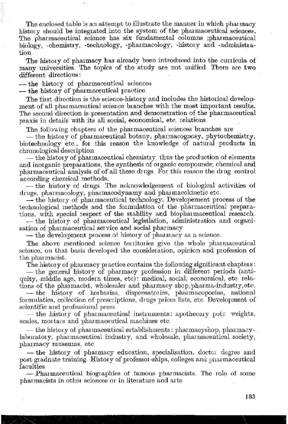The enclosed table is an attempt to illustrate the manner in which pharmacy history should be integrated into the system of the pharmaceutical sciences. The pharmaceutical science has six fundamental colmuns ;pharmaceutical biology, -chenristry, -technology, -pharmacology, -history and -administra- $\mathbf{tion}$ 

The history of pharmacy has already been introduced into the curricula of many universities, The topics of the study are not unified There are two different directions:

- the history of pharmaceutical sciences

Ý

— the history of pharmaceutical practice.

The first direction is the science-history and includes the historical develop· ment of all pharmaceutical science branches with the most important results. The second direction is presentation and demonstration of the pharmaceutical praxis in details with its all social, economical, etc. relations

The following chapters of the pharmaceutical sciences branches are

- the history of pharmaceutical botany, pharmacognosy, phytochemistry, biotechnology etc., for this reason the knowledge of natural products in chronological description

- the history of pharmaceutical chenristry thus the production of elements and inorganic preparations, the synthesis of organic compounds; chenrical and pharmaceutical analysis of of all these drugs For this reason the drug control according chemical methods.

- the history of drugs, The acknowledgement of biological activities of drugs, pharmacology, pharmacodynamy and pharmacokinetic etc.

- the history of pharmaceutical technology. Developement process of the technological methods and the formulation of the pharmaceutical preparations, with special respect of the stability and biopharmaceutical research.

- the history of pharmaceutical legistlation, administration and organi**sation of pha1maceutical service and social pharmacy** 

- the development process of history of pharmacy as a science.

The above mentioned science territories give the whole pharmaceutical science, on that basis developed the consideration, opinion and profession of the pharmacist.

The history of pharmacy practice contains the following significant chapters:

- the general history of pharmacy profession in different periods (antiquity, middle age, modern times, etc): medical, social, economical, etc. relations of the pharmacist, wholesaler and pharmacy shop, pharma-industry, etc.

 $-$  the history of herbarias, dispensatories, pharmacopoeias, national formulaties, collection of prescriptions, drugs prices lists, etc, Development of **scientific and prof6ssional p1ess.** 

 $-$  the history of pharmaceutical instruments: apothecary potr weights, scales, mortars and pharmaceutical machines etc.

 $-$  the history of pharmaceutical establishments: pharmacyshop, pharmacylaboratory, pharmaceutical industry, and wholesale, pharmaceutical society, **pharmacy museums, etc** 

 $-\mu$  the history of pharmacy education, specialisation, doctor degree and post graduate training. History of professor-ships, colleges and pharmaceutical faculties

- Pharmaceutical biographies of famous pharmacists. The role of some **pharmacists in other sciences or in Iiterature and arts**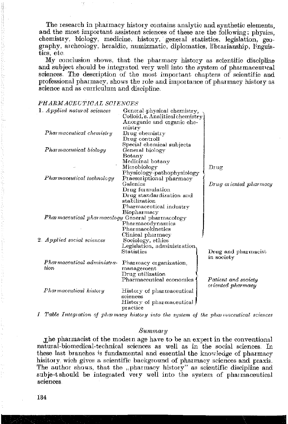The research in pharmacy history contains analytic and synthetic elements. and the most important assistent sciences of these are the following: physics, chemistry, biology, medicine, history, general statistics, legislation, geography, archeology, heraldic, numizmatic, diplomatics, librarianship, linguistics, etc.

My conclusion shows, that the pharmacy history as scientific discipline and subject should be integrated very well into the system of pharmaceutrcal sciences. The description of the most important chapters of scientific and professional pharmacy, shows the role and importance of pharmacy history as science and as curriculum and discipline.

### PHARM ACEUTICAL SCIENCES

|  | 1 Applied natural sciences                       | General physical chemistry,                                    |                        |
|--|--------------------------------------------------|----------------------------------------------------------------|------------------------|
|  |                                                  | Colloid, s. Analitical chemistry<br>Anorganic and organic che- |                        |
|  |                                                  | mistry                                                         |                        |
|  | Pharmaceutical chemistry                         | Drug chemistry                                                 |                        |
|  |                                                  | $_{\text{Drug controll}}$                                      |                        |
|  |                                                  | Special chemical subjects                                      |                        |
|  | Pharmaceutical biology                           | General biology                                                |                        |
|  |                                                  | Botany                                                         |                        |
|  |                                                  | Medicinal botany                                               |                        |
|  |                                                  | Microbiology                                                   | Drug                   |
|  |                                                  | Physiology-pathophysiology                                     |                        |
|  | Pharmaceutical technology                        | Praescriptional pharmacy                                       |                        |
|  |                                                  | Galenies                                                       | Drug oriented pharmacy |
|  |                                                  | Drug formulation                                               |                        |
|  |                                                  | Drug standardization and                                       |                        |
|  |                                                  | stabilization                                                  |                        |
|  |                                                  | Pharmaceutical industry                                        |                        |
|  |                                                  | Biopharmacy                                                    |                        |
|  | Pharmaceutical pharmacology General pharmacology |                                                                |                        |
|  |                                                  | Pharmacodynamics                                               |                        |
|  |                                                  | Pharmacokinetics                                               |                        |
|  |                                                  | Clinical pharmacy                                              |                        |
|  | 2 Applied social sciences                        | Sociology, ethics                                              |                        |
|  |                                                  | Legislation, administration                                    |                        |
|  |                                                  | Statistics                                                     | Drug and pharmacist    |
|  |                                                  |                                                                | in society             |
|  | Pharmaceutical administra-                       | Pharmacy organization,                                         |                        |
|  | ti on                                            | management                                                     |                        |
|  |                                                  | Drug utilization                                               |                        |
|  |                                                  | Pharmaceutical economics                                       | Patient and society    |
|  | Pharmaceutical history                           |                                                                | oriented pharmacy      |
|  |                                                  | History of pharmaceutical<br>sciences                          |                        |
|  |                                                  | History of pharmaceutical                                      |                        |
|  |                                                  | $_{\rm practice}$                                              |                        |
|  |                                                  |                                                                |                        |

1. Table Integration of pharmacy history into the system of the pharmaceutical sciences

#### $Summary$

The pharmacist of the modern age have to be an expert in the conventional natural-biomedical-technical sciences as well as in the social sciences. In these last branches is fundamental and essential the knowledge of pharmacy hisitory wich gives a scientific background of pharmacy sciences and praxis. The author shows, that the "pharmacy history" as scientific discipline and subje-t should be integrated very well into the system of pharmaceutical sciences.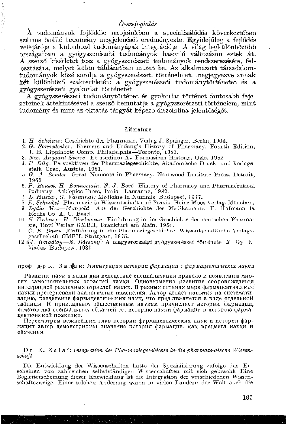## *Összefoglalás*

i.

A tudományok fojlődése napjainkban a specializálódás következtében számos önálló tudomány megjelenését eredményezte Egyidejűleg a fejlődés velejárója a különböző tudományágak integrációja A világ legkülönbözőbb országaiban a gyógyszerészeti tudományok hasonló változáson estek át. A szerző kísérletet tesz a gyógyszerészeti tudományok rendszerezésére, felosztására, melyet külön táblázatban mutat be .. Az alkalmazott társadalomtudományok közé sorolja a gyógyszerészeti történelmet, megjegyezve annak két különböző szakterületét: a gyógyszerészeti tudománytörténetet és a gyógyszerészeti gyakorlat tö1 ténetét

A gyógyszerészeti tudománytörténet és gyakmlat történet fontosabb fojezeteinek áttekintésével a szerző bemutatja a gyógyszerészeti történelem, mint tudomány és mint az oktatás tárgyát képező diszciplina jelentőségét.

### Literature

- 1. *H Schelenz.* Geschichte der Pharmazie. Verlag J. Springer, Berlin, 1904.
- 2. *G. Sonnedecker.* Kremers and Urdang's History of Pharmacy. Fourth Edition, J. B. Lippincott Comp. Philadelphia-Toronto, 1983.
- 3. *Nic. Aagaard Sverre* Et studiun1 Av Faunasiens Historie, Oslo, 1982
- 4. P Dilg: Perspektiven der Pharmaziegeschichte, Akademische Druck- und Verlagsstalt. Graz, Austria, 1983.
- 5 G. A. Bender Great Noments in Pharmacy, Nortwood Institute Press, Detroit, 1966.
- 6. *P. Bousel, H. Bonnemain, F. J. Bové* History of Pharmacy and Pharmaceutical Industry. Asklepios Press, Pa1is-Lausanne, 1982
- 7 *L. Huszar, G. Varannai: Medicina in Nummis. Budapest, 1977.*
- 8. R. Schnabel : Pharmazie in Wissentschaft und Praxis, *IIeinz Moos Verlag*, München.
- 9 *Lydia Mez-Mangold* Aus der Geschichte des Medikaments F. Hofmann Ja Roche Co A. G. Basel
- 10 *G. TJrdang-Jf. Dieckniann.* Einführung in der Geschichte der deutschen Pha11nazie, Bovi Verlag GMBH, Frankfurt am Main, 1954.
- 11 G. E. Dann Einführung in die Pharmaziegeschichte Wissentschaftliche Verlagsgesellschaft GMBH. Stuttgart, 1975.
- 12. űJ. *Baradlay-E. Bársony:* A magyarországi gyógyszerészet története. M. Gy. E kiadás Budapest, 1930

#### проф.  $_{\rm A-P}$  К. Зап $_{\rm A}$ и: Интеграция истории фармации в фармацевтические науки

Pasвитие наук в наши дни вследствие специализации привело к появлению многих самостоятельных отраслей науки. Одноверменно развитие сопровождается интеграцией различных отраслей науки. В разных странах мира фармацевтические науки претерпевали аналогичные изменения. Автор делает попытку на систематизацию, разделение фармацевгических наук, что предстваляется в виде отдельной Taблицы. К прикладным общественным наукам причисляет историю фармации, отметив два специальных областей ее: историю науки фармации и историю фармацевтической практики.

Пересмотром вежнейших глав истории фармацевтических наук и истории фар-Mации автор демонстрирует значение история фармации, как предмета науки и обучения.

#### D<sub>I</sub>. K. Zalai: *Integration der Pharmaziegeschichte in die pharmazeutische Wissenschaft*

Die Entwicklung der Wissenschaften hatte der Spezialisierung zufolge das Erscheinen von zahlreichen selbstständigen Wissenschaften mit sich gebracht. Eine Begleiterscheinung dieser Entwicklung ist die Integration der verschiedenen Wissenschaftszweige. Einer solchen Anderung waren in vielen Ländern der Welt auch die